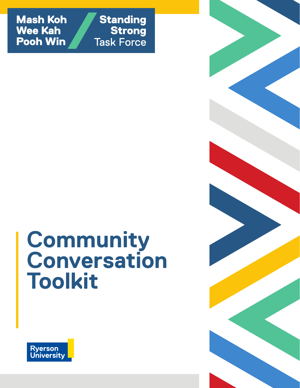**Mash Koh Wee Kah Pooh Win** 

**Standing Strong Task Force** 

# **Community Conversation Toolkit**



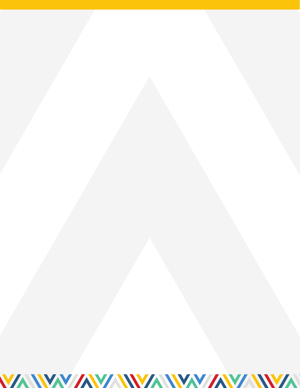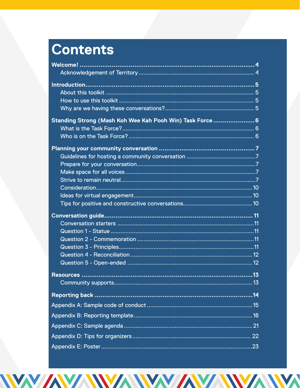## **Contents**

**INVANA** 

| Standing Strong (Mash Koh Wee Kah Pooh Win) Task Force  6 |  |
|-----------------------------------------------------------|--|
|                                                           |  |
|                                                           |  |
|                                                           |  |
|                                                           |  |
|                                                           |  |
|                                                           |  |
|                                                           |  |
|                                                           |  |
|                                                           |  |
|                                                           |  |
|                                                           |  |
|                                                           |  |
|                                                           |  |
|                                                           |  |
|                                                           |  |
|                                                           |  |
|                                                           |  |
|                                                           |  |
|                                                           |  |
|                                                           |  |
|                                                           |  |
|                                                           |  |
|                                                           |  |
|                                                           |  |
|                                                           |  |

**A**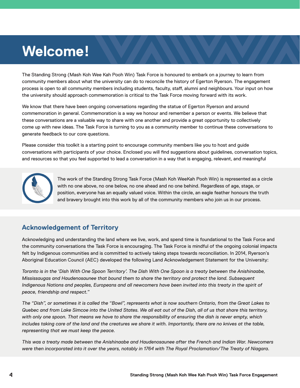## **Welcome!**

The Standing Strong (Mash Koh Wee Kah Pooh Win) Task Force is honoured to embark on a journey to learn from community members about what the university can do to reconcile the history of Egerton Ryerson. The engagement process is open to all community members including students, faculty, staff, alumni and neighbours. Your input on how the university should approach commemoration is critical to the Task Force moving forward with its work.

We know that there have been ongoing conversations regarding the statue of Egerton Ryerson and around commemoration in general. Commemoration is a way we honour and remember a person or events. We believe that these conversations are a valuable way to share with one another and provide a great opportunity to collectively come up with new ideas. The Task Force is turning to you as a community member to continue these conversations to generate feedback to our core questions.

Please consider this toolkit is a starting point to encourage community members like you to host and guide conversations with participants of your choice. Enclosed you will find suggestions about guidelines, conversation topics, and resources so that you feel supported to lead a conversation in a way that is engaging, relevant, and meaningful



The work of the Standing Strong Task Force (Mash Koh WeeKah Pooh Win) is represented as a circle with no one above, no one below, no one ahead and no one behind. Regardless of age, stage, or position, everyone has an equally valued voice. Within the circle, an eagle feather honours the truth and bravery brought into this work by all of the community members who join us in our process.

### **Acknowledgement of Territory**

Acknowledging and understanding the land where we live, work, and spend time is foundational to the Task Force and the community conversations the Task Force is encouraging. The Task Force is mindful of the ongoing colonial impacts felt by Indigenous communities and is committed to actively taking steps towards reconciliation. In 2014, Ryerson's Aboriginal Education Council (AEC) developed the following Land Acknowledgement Statement for the University:

*Toronto is in the 'Dish With One Spoon Territory'. The Dish With One Spoon is a treaty between the Anishinaabe, Mississaugas and Haudenosaunee that bound them to share the territory and protect the land. Subsequent Indigenous Nations and peoples, Europeans and all newcomers have been invited into this treaty in the spirit of peace, friendship and respect."*

*The "Dish", or sometimes it is called the "Bowl", represents what is now southern Ontario, from the Great Lakes to Quebec and from Lake Simcoe into the United States. We all eat out of the Dish, all of us that share this territory, with only one spoon. That means we have to share the responsibility of ensuring the dish is never empty, which*  includes taking care of the land and the creatures we share it with. Importantly, there are no knives at the table, *representing that we must keep the peace.* 

*This was a treaty made between the Anishinaabe and Haudenosaunee after the French and Indian War. Newcomers were then incorporated into it over the years, notably in 1764 with The Royal Proclamation/The Treaty of Niagara.*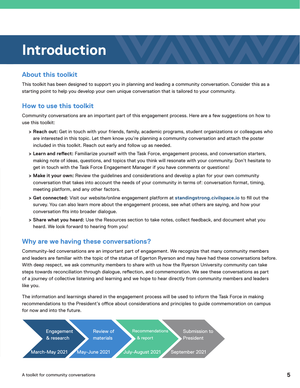## **Introduction**

### **About this toolkit**

This toolkit has been designed to support you in planning and leading a community conversation. Consider this as a starting point to help you develop your own unique conversation that is tailored to your community.

### **How to use this toolkit**

Community conversations are an important part of this engagement process. Here are a few suggestions on how to use this toolkit:

- **> Reach out:** Get in touch with your friends, family, academic programs, student organizations or colleagues who are interested in this topic. Let them know you're planning a community conversation and attach the poster included in this toolkit. Reach out early and follow up as needed.
- **> Learn and reflect:** Familiarize yourself with the Task Force, engagement process, and conversation starters, making note of ideas, questions, and topics that you think will resonate with your community. Don't hesitate to get in touch with the Task Force Engagement Manager if you have comments or questions!
- **> Make it your own:** Review the guidelines and considerations and develop a plan for your own community conversation that takes into account the needs of your community in terms of: conversation format, timing, meeting platform, and any other factors.
- **> Get connected:** Visit our website/online engagement platform at **standingstrong.civilspace.io** to fill out the survey. You can also learn more about the engagement process, see what others are saying, and how your conversation fits into broader dialogue.
- **> Share what you heard:** Use the Resources section to take notes, collect feedback, and document what you heard. We look forward to hearing from you!

### **Why are we having these conversations?**

Community-led conversations are an important part of engagement. We recognize that many community members and leaders are familiar with the topic of the statue of Egerton Ryerson and may have had these conversations before. With deep respect, we ask community members to share with us how the Ryerson University community can take steps towards reconciliation through dialogue, reflection, and commemoration. We see these conversations as part of a journey of collective listening and learning and we hope to hear directly from community members and leaders like you.

The information and learnings shared in the engagement process will be used to inform the Task Force in making recommendations to the President's office about considerations and principles to guide commemoration on campus for now and into the future.

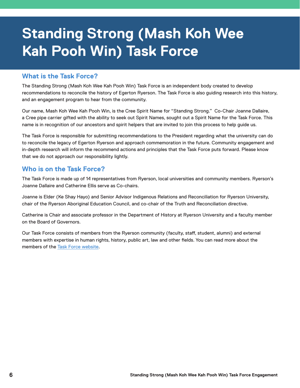## **Standing Strong (Mash Koh Wee Kah Pooh Win) Task Force**

### **What is the Task Force?**

The Standing Strong (Mash Koh Wee Kah Pooh Win) Task Force is an independent body created to develop recommendations to reconcile the history of Egerton Ryerson. The Task Force is also guiding research into this history, and an engagement program to hear from the community.

Our name, Mash Koh Wee Kah Pooh Win, is the Cree Spirit Name for "Standing Strong." Co-Chair Joanne Dallaire, a Cree pipe carrier gifted with the ability to seek out Spirit Names, sought out a Spirit Name for the Task Force. This name is in recognition of our ancestors and spirit helpers that are invited to join this process to help guide us.

The Task Force is responsible for submitting recommendations to the President regarding what the university can do to reconcile the legacy of Egerton Ryerson and approach commemoration in the future. Community engagement and in-depth research will inform the recommend actions and principles that the Task Force puts forward. Please know that we do not approach our responsibility lightly.

### **Who is on the Task Force?**

The Task Force is made up of 14 representatives from Ryerson, local universities and community members. Ryerson's Joanne Dallaire and Catherine Ellis serve as Co-chairs.

Joanne is Elder (Ke Shay Hayo) and Senior Advisor Indigenous Relations and Reconciliation for Ryerson University, chair of the Ryerson Aboriginal Education Council, and co-chair of the Truth and Reconciliation directive.

Catherine is Chair and associate professor in the Department of History at Ryerson University and a faculty member on the Board of Governors.

Our Task Force consists of members from the Ryerson community (faculty, staff, student, alumni) and external members with expertise in human rights, history, public art, law and other fields. You can read more about the members of the [Task Force website](https://www.ryerson.ca/news-events/news/2020/11/president-lachemi-names-task-force-members-examining-egerton-ryersons-history/).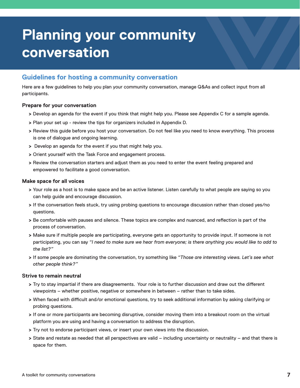## **Planning your community conversation**

### **Guidelines for hosting a community conversation**

Here are a few guidelines to help you plan your community conversation, manage Q&As and collect input from all participants.

#### **Prepare for your conversation**

- **>** Develop an agenda for the event if you think that might help you. Please see Appendix C for a sample agenda.
- **>** Plan your set up review the tips for organizers included in Appendix D.
- **>** Review this guide before you host your conversation. Do not feel like you need to know everything. This process is one of dialogue and ongoing learning.
- **>** Develop an agenda for the event if you that might help you.
- **>** Orient yourself with the Task Force and engagement process.
- **>** Review the conversation starters and adjust them as you need to enter the event feeling prepared and empowered to facilitate a good conversation.

#### **Make space for all voices**

- **>** Your role as a host is to make space and be an active listener. Listen carefully to what people are saying so you can help guide and encourage discussion.
- **>** If the conversation feels stuck, try using probing questions to encourage discussion rather than closed yes/no questions.
- **>** Be comfortable with pauses and silence. These topics are complex and nuanced, and reflection is part of the process of conversation.
- **>** Make sure if multiple people are participating, everyone gets an opportunity to provide input. If someone is not participating, you can say *"I need to make sure we hear from everyone; is there anything you would like to add to the list?"*
- **>** If some people are dominating the conversation, try something like *"Those are interesting views. Let's see what other people think?"*

#### **Strive to remain neutral**

- **>** Try to stay impartial if there are disagreements. Your role is to further discussion and draw out the different viewpoints – whether positive, negative or somewhere in between – rather than to take sides.
- **>** When faced with difficult and/or emotional questions, try to seek additional information by asking clarifying or probing questions.
- **>** If one or more participants are becoming disruptive, consider moving them into a breakout room on the virtual platform you are using and having a conversation to address the disruption.
- **>** Try not to endorse participant views, or insert your own views into the discussion.
- **>** State and restate as needed that all perspectives are valid including uncertainty or neutrality and that there is space for them.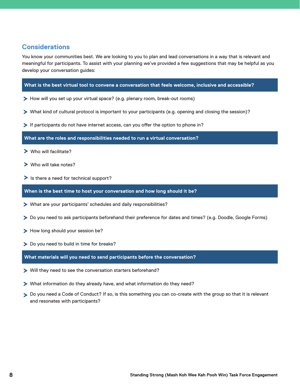### **Considerations**

You know your communities best. We are looking to you to plan and lead conversations in a way that is relevant and meaningful for participants. To assist with your planning we've provided a few suggestions that may be helpful as you develop your conversation guides:

#### **What is the best virtual tool to convene a conversation that feels welcome, inclusive and accessible?**

- How will you set up your virtual space? (e.g. plenary room, break-out rooms)
- What kind of cultural protocol is important to your participants (e.g. opening and closing the session)?
- If participants do not have internet access, can you offer the option to phone in?

**What are the roles and responsibilities needed to run a virtual conversation?**

- Who will facilitate?
- Who will take notes?
- $\geq$  Is there a need for technical support?

**When is the best time to host your conversation and how long should it be?**

- What are your participants' schedules and daily responsibilities?
- Do you need to ask participants beforehand their preference for dates and times? (e.g. Doodle, Google Forms)
- > How long should your session be?
- > Do you need to build in time for breaks?

**What materials will you need to send participants before the conversation?**

- Will they need to see the conversation starters beforehand?
- What information do they already have, and what information do they need?
- Do you need a Code of Conduct? If so, is this something you can co-create with the group so that it is relevant and resonates with participants?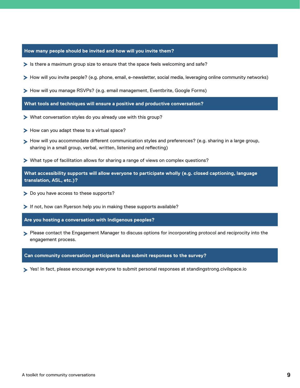#### **How many people should be invited and how will you invite them?**

- Is there a maximum group size to ensure that the space feels welcoming and safe?
- How will you invite people? (e.g. phone, email, e-newsletter, social media, leveraging online community networks)
- $\triangleright$  How will you manage RSVPs? (e.g. email management, Eventbrite, Google Forms)

**What tools and techniques will ensure a positive and productive conversation?**

- What conversation styles do you already use with this group?
- > How can you adapt these to a virtual space?
- How will you accommodate different communication styles and preferences? (e.g. sharing in a large group, sharing in a small group, verbal, written, listening and reflecting)
- What type of facilitation allows for sharing a range of views on complex questions?

**What accessibility supports will allow everyone to participate wholly (e.g. closed captioning, language translation, ASL, etc.)?**

- > Do you have access to these supports?
- If not, how can Ryerson help you in making these supports available?

**Are you hosting a conversation with Indigenous peoples?**

Please contact the Engagement Manager to discuss options for incorporating protocol and reciprocity into the engagement process.

**Can community conversation participants also submit responses to the survey?**

Yes! In fact, please encourage everyone to submit personal responses at standingstrong.civilspace.io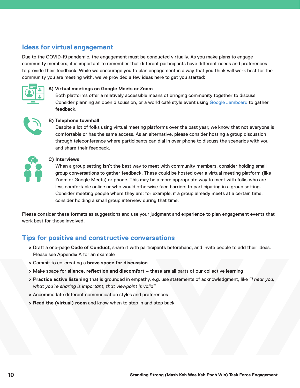## **Ideas for virtual engagement**

Due to the COVID-19 pandemic, the engagement must be conducted virtually. As you make plans to engage community members, it is important to remember that different participants have different needs and preferences to provide their feedback. While we encourage you to plan engagement in a way that you think will work best for the community you are meeting with, we've provided a few ideas here to get you started:



#### **A) Virtual meetings on Google Meets or Zoom**

Both platforms offer a relatively accessible means of bringing community together to discuss. Consider planning an open discussion, or a world café style event using [Google Jamboard](https://jamboard.google.com/) to gather feedback.



#### **B) Telephone townhall**

Despite a lot of folks using virtual meeting platforms over the past year, we know that not everyone is comfortable or has the same access. As an alternative, please consider hosting a group discussion through teleconference where participants can dial in over phone to discuss the scenarios with you and share their feedback.



#### **C) Interviews**

When a group setting isn't the best way to meet with community members, consider holding small group conversations to gather feedback. These could be hosted over a virtual meeting platform (like Zoom or Google Meets) or phone. This may be a more appropriate way to meet with folks who are less comfortable online or who would otherwise face barriers to participating in a group setting. Consider meeting people where they are: for example, if a group already meets at a certain time, consider holding a small group interview during that time.

Please consider these formats as suggestions and use your judgment and experience to plan engagement events that work best for those involved.

### **Tips for positive and constructive conversations**

- **>** Draft a one-page **Code of Conduct**, share it with participants beforehand, and invite people to add their ideas. Please see Appendix A for an example
- **>** Commit to co-creating a **brave space for discussion**
- **>** Make space for **silence, reflection and discomfort** these are all parts of our collective learning
- **> Practice active listening** that is grounded in empathy, e.g. use statements of acknowledgment, like *"I hear you, what you're sharing is important, that viewpoint is valid"*
- **>** Accommodate different communication styles and preferences
- **> Read the (virtual) room** and know when to step in and step back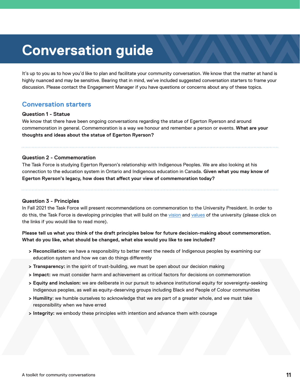## **Conversation guide**

It's up to you as to how you'd like to plan and facilitate your community conversation. We know that the matter at hand is highly nuanced and may be sensitive. Bearing that in mind, we've included suggested conversation starters to frame your discussion. Please contact the Engagement Manager if you have questions or concerns about any of these topics.

### **Conversation starters**

#### **Question 1 - Statue**

We know that there have been ongoing conversations regarding the statue of Egerton Ryerson and around commemoration in general. Commemoration is a way we honour and remember a person or events. **What are your thoughts and ideas about the statue of Egerton Ryerson?**

#### **Question 2 - Commemoration**

The Task Force is studying Egerton Ryerson's relationship with Indigenous Peoples. We are also looking at his connection to the education system in Ontario and Indigenous education in Canada. **Given what you may know of Egerton Ryerson's legacy, how does that affect your view of commemoration today?**

#### **Question 3 - Principles**

In Fall 2021 the Task Force will present recommendations on commemoration to the University President. In order to do this, the Task Force is developing principles that will build on the [vision](https://www.ryerson.ca/president/StrategicVision/) and [values](https://www.ryerson.ca/provost/strategic-plans/academic-plan/ourvalues/) of the university (please click on the links if you would like to read more).

#### **Please tell us what you think of the draft principles below for future decision-making about commemoration. What do you like, what should be changed, what else would you like to see included?**

- **> Reconciliation:** we have a responsibility to better meet the needs of Indigenous peoples by examining our education system and how we can do things differently
- **> Transparency:** in the spirit of trust-building, we must be open about our decision making
- **> Impact:** we must consider harm and achievement as critical factors for decisions on commemoration
- **> Equity and inclusion:** we are deliberate in our pursuit to advance institutional equity for sovereignty-seeking Indigenous peoples, as well as equity-deserving groups including Black and People of Colour communities
- **> Humility**: we humble ourselves to acknowledge that we are part of a greater whole, and we must take responsibility when we have erred
- **> Integrity:** we embody these principles with intention and advance them with courage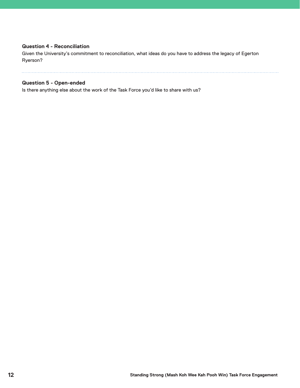### **Question 4 - Reconciliation**

Given the University's commitment to reconciliation, what ideas do you have to address the legacy of Egerton Ryerson?

**Question 5 - Open-ended**

Is there anything else about the work of the Task Force you'd like to share with us?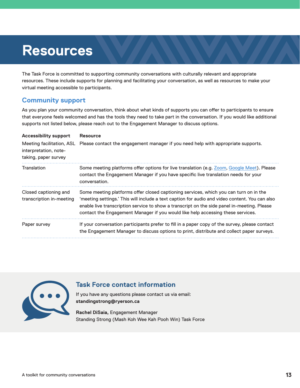## **Resources**

The Task Force is committed to supporting community conversations with culturally relevant and appropriate resources. These include supports for planning and facilitating your conversation, as well as resources to make your virtual meeting accessible to participants.

### **Community support**

As you plan your community conversation, think about what kinds of supports you can offer to participants to ensure that everyone feels welcomed and has the tools they need to take part in the conversation. If you would like additional supports not listed below, please reach out to the Engagement Manager to discuss options.

| <b>Accessibility support</b>                                               | <b>Resource</b>                                                                                                                                                                                                                                                                                                                                                           |  |  |  |
|----------------------------------------------------------------------------|---------------------------------------------------------------------------------------------------------------------------------------------------------------------------------------------------------------------------------------------------------------------------------------------------------------------------------------------------------------------------|--|--|--|
| Meeting facilitation, ASL<br>interpretation, note-<br>taking, paper survey | Please contact the engagement manager if you need help with appropriate supports.                                                                                                                                                                                                                                                                                         |  |  |  |
| Translation                                                                | Some meeting platforms offer options for live translation (e.g. Zoom, Google Meet). Please<br>contact the Engagement Manager if you have specific live translation needs for your<br>conversation.                                                                                                                                                                        |  |  |  |
| Closed captioning and<br>transcription in-meeting                          | Some meeting platforms offer closed captioning services, which you can turn on in the<br>'meeting settings.' This will include a text caption for audio and video content. You can also<br>enable live transcription service to show a transcript on the side panel in-meeting. Please<br>contact the Engagement Manager if you would like help accessing these services. |  |  |  |
| Paper survey                                                               | If your conversation participants prefer to fill in a paper copy of the survey, please contact<br>the Engagement Manager to discuss options to print, distribute and collect paper surveys.                                                                                                                                                                               |  |  |  |



### **Task Force contact information**

If you have any questions please contact us via email: **standingstrong@ryerson.ca**

**Rachel DiSaia,** Engagement Manager Standing Strong (Mash Koh Wee Kah Pooh Win) Task Force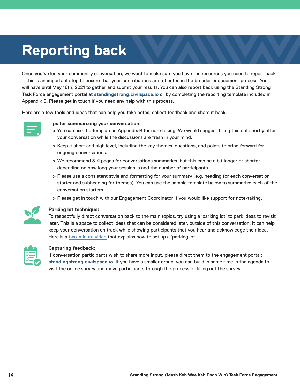## **Reporting back**

Once you've led your community conversation, we want to make sure you have the resources you need to report back – this is an important step to ensure that your contributions are reflected in the broader engagement process. You will have until May 16th, 2021 to gather and submit your results. You can also report back using the Standing Strong Task Force engagement portal at **standingstrong.civilspace.io** or by completing the reporting template included in Appendix B. Please get in touch if you need any help with this process.

Here are a few tools and ideas that can help you take notes, collect feedback and share it back.



#### **Tips for summarizing your conversation:**

- **>** You can use the template in Appendix B for note taking. We would suggest filling this out shortly after your conversation while the discussions are fresh in your mind.
- **>** Keep it short and high level, including the key themes, questions, and points to bring forward for ongoing conversations.
- **>** We recommend 3-4 pages for conversations summaries, but this can be a bit longer or shorter depending on how long your session is and the number of participants.
- **>** Please use a consistent style and formatting for your summary (e.g. heading for each conversation starter and subheading for themes). You can use the sample template below to summarize each of the conversation starters.
- **>** Please get in touch with our Engagement Coordinator if you would like support for note-taking.



#### **Parking lot technique:**

To respectfully direct conversation back to the main topics, try using a 'parking lot' to park ideas to revisit later. This is a space to collect ideas that can be considered later, outside of this conversation. It can help keep your conversation on track while showing participants that you hear and acknowledge their idea. Here is a [two-minute video](https://www.youtube.com/watch?v=0yZNtLrNOS4) that explains how to set up a 'parking lot'.



#### **Capturing feedback:**

If conversation participants wish to share more input, please direct them to the engagement portal: **standingstrong.civilspace.io**. If you have a smaller group, you can build in some time in the agenda to visit the online survey and move participants through the process of filling out the survey.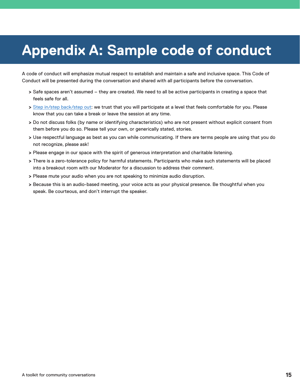## **Appendix A: Sample code of conduct**

A code of conduct will emphasize mutual respect to establish and maintain a safe and inclusive space. This Code of Conduct will be presented during the conversation and shared with all participants before the conversation.

- **>** Safe spaces aren't assumed they are created. We need to all be active participants in creating a space that feels safe for all.
- **>** [Step in/step back/step out](https://pz.harvard.edu/sites/default/files/Step%20In%20-%20Step%20Out%20-%20Step%20Back_1.pdf): we trust that you will participate at a level that feels comfortable for you. Please know that you can take a break or leave the session at any time.
- **>** Do not discuss folks (by name or identifying characteristics) who are not present without explicit consent from them before you do so. Please tell your own, or generically stated, stories.
- **>** Use respectful language as best as you can while communicating. If there are terms people are using that you do not recognize, please ask!
- **>** Please engage in our space with the spirit of generous interpretation and charitable listening.
- **>** There is a zero-tolerance policy for harmful statements. Participants who make such statements will be placed into a breakout room with our Moderator for a discussion to address their comment.
- **>** Please mute your audio when you are not speaking to minimize audio disruption.
- **>** Because this is an audio-based meeting, your voice acts as your physical presence. Be thoughtful when you speak. Be courteous, and don't interrupt the speaker.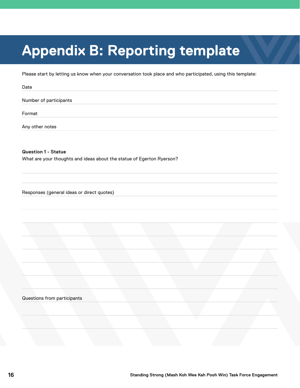## **Appendix B: Reporting template**

Please start by letting us know when your conversation took place and who participated, using this template:

| Date                   |  |  |
|------------------------|--|--|
| Number of participants |  |  |
| Format                 |  |  |
| Any other notes        |  |  |

**Question 1 - Statue** 

What are your thoughts and ideas about the statue of Egerton Ryerson?

Responses (general ideas or direct quotes)

Questions from participants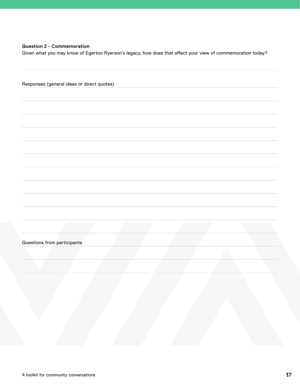#### **Question 2 - Commemoration**

Given what you may know of Egerton Ryerson's legacy, how does that affect your view of commemoration today?

Responses (general ideas or direct quotes) Questions from participants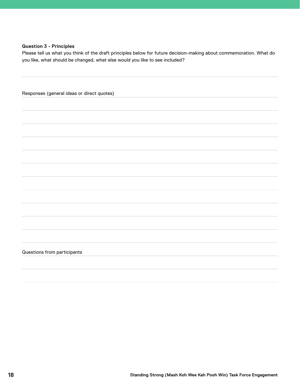#### **Question 3 - Principles**

Please tell us what you think of the draft principles below for future decision-making about commemoration. What do you like, what should be changed, what else would you like to see included?

Responses (general ideas or direct quotes)

Questions from participants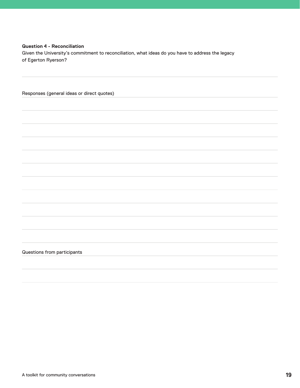#### **Question 4 - Reconciliation**

Given the University's commitment to reconciliation, what ideas do you have to address the legacy of Egerton Ryerson?

Responses (general ideas or direct quotes)

Questions from participants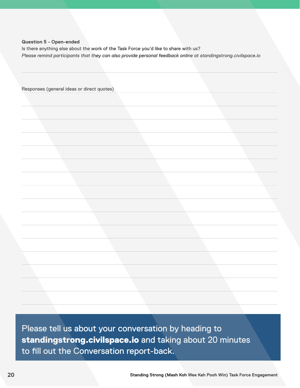#### **Question 5 - Open-ended**

Is there anything else about the work of the Task Force you'd like to share with us? *Please remind participants that they can also provide personal feedback online at standingstrong.civilspace.io*

Responses (general ideas or direct quotes)

Please tell us about your conversation by heading to standingstrong.civilspace.io and taking about 20 minutes to fill out the Conversation report-back.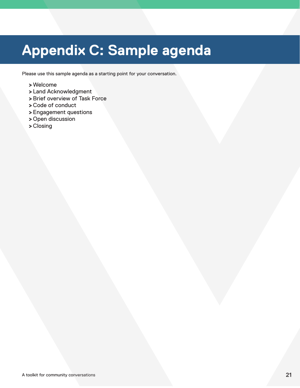## **Appendix C: Sample agenda**

Please use this sample agenda as a starting point for your conversation.

- **>** Welcome
- **>** Land Acknowledgment
- **>** Brief overview of Task Force
- **>**Code of conduct
- **>** Engagement questions
- **>** Open discussion
- **>**Closing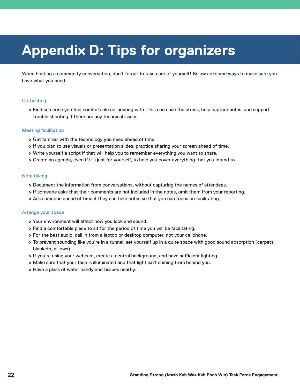## **Appendix D: Tips for organizers**

When hosting a community conversation, don't forget to take care of yourself! Below are some ways to make sure you have what you need.

#### Co-hosting

**>** Find someone you feel comfortable co-hosting with. This can ease the stress, help capture notes, and support trouble shooting if there are any technical issues.

#### Meeting facilitation

- **>** Get familiar with the technology you need ahead of time.
- **>** If you plan to use visuals or presentation slides, practice sharing your screen ahead of time.
- **>** Write yourself a script if that will help you to remember everything you want to share.
- **>** Create an agenda, even if it's just for yourself, to help you cover everything that you intend to.

#### Note taking

- **>** Document the information from conversations, without capturing the names of attendees.
- **>** If someone asks that their comments are not included in the notes, omit them from your reporting.
- **>** Ask someone ahead of time if they can take notes so that you can focus on facilitating.

#### Arrange your space

- **>** Your environment will affect how you look and sound.
- **>** Find a comfortable place to sit for the period of time you will be facilitating.
- **>** For the best audio, call in from a laptop or desktop computer, not your cellphone.
- **>** To prevent sounding like you're in a tunnel, set yourself up in a quite space with good sound absorption (carpets, blankets, pillows).
- **>** If you're using your webcam, create a neutral background, and have sufficient lighting.
- **>** Make sure that your face is illuminated and that light isn't shining from behind you.
- **>** Have a glass of water handy and tissues nearby.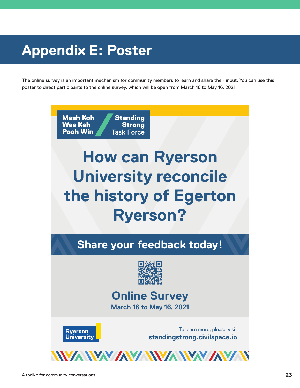## **Appendix E: Poster**

The online survey is an important mechanism for community members to learn and share their input. You can use this poster to direct participants to the online survey, which will be open from March 16 to May 16, 2021.